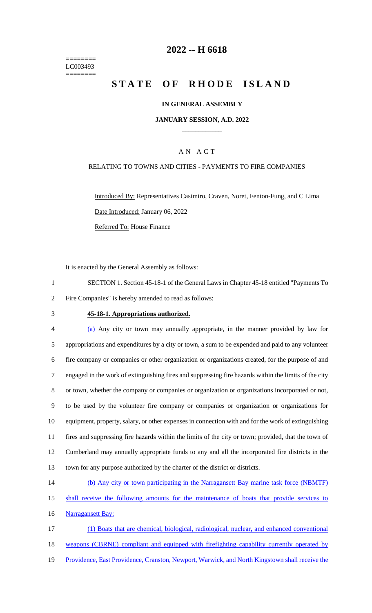======== LC003493 ========

# **2022 -- H 6618**

# **STATE OF RHODE ISLAND**

### **IN GENERAL ASSEMBLY**

#### **JANUARY SESSION, A.D. 2022 \_\_\_\_\_\_\_\_\_\_\_\_**

### A N A C T

#### RELATING TO TOWNS AND CITIES - PAYMENTS TO FIRE COMPANIES

Introduced By: Representatives Casimiro, Craven, Noret, Fenton-Fung, and C Lima Date Introduced: January 06, 2022 Referred To: House Finance

It is enacted by the General Assembly as follows:

1 SECTION 1. Section 45-18-1 of the General Laws in Chapter 45-18 entitled "Payments To 2 Fire Companies" is hereby amended to read as follows:

#### 3 **45-18-1. Appropriations authorized.**

 (a) Any city or town may annually appropriate, in the manner provided by law for appropriations and expenditures by a city or town, a sum to be expended and paid to any volunteer fire company or companies or other organization or organizations created, for the purpose of and engaged in the work of extinguishing fires and suppressing fire hazards within the limits of the city or town, whether the company or companies or organization or organizations incorporated or not, to be used by the volunteer fire company or companies or organization or organizations for equipment, property, salary, or other expenses in connection with and for the work of extinguishing fires and suppressing fire hazards within the limits of the city or town; provided, that the town of Cumberland may annually appropriate funds to any and all the incorporated fire districts in the town for any purpose authorized by the charter of the district or districts.

14 (b) Any city or town participating in the Narragansett Bay marine task force (NBMTF) 15 shall receive the following amounts for the maintenance of boats that provide services to

16 Narragansett Bay:

17 (1) Boats that are chemical, biological, radiological, nuclear, and enhanced conventional 18 weapons (CBRNE) compliant and equipped with firefighting capability currently operated by 19 Providence, East Providence, Cranston, Newport, Warwick, and North Kingstown shall receive the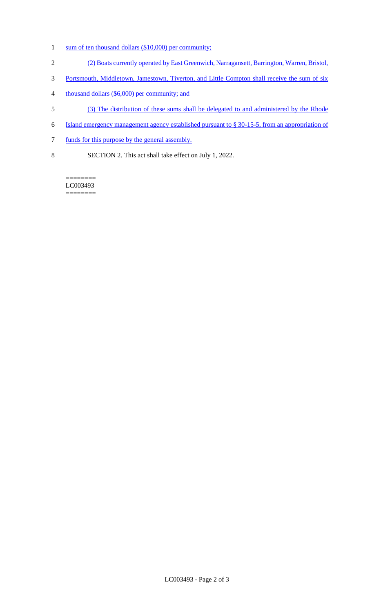- 1 sum of ten thousand dollars (\$10,000) per community;
- 2 (2) Boats currently operated by East Greenwich, Narragansett, Barrington, Warren, Bristol,
- 3 Portsmouth, Middletown, Jamestown, Tiverton, and Little Compton shall receive the sum of six
- 4 thousand dollars (\$6,000) per community; and
- 5 (3) The distribution of these sums shall be delegated to and administered by the Rhode
- 6 Island emergency management agency established pursuant to § 30-15-5, from an appropriation of
- 7 funds for this purpose by the general assembly.
- 8 SECTION 2. This act shall take effect on July 1, 2022.

LC003493 ========

 $=$